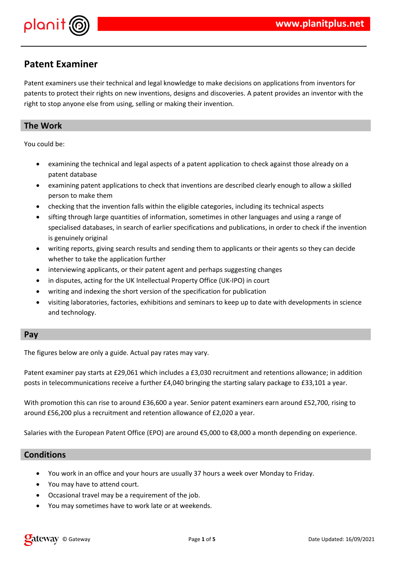

# **Patent Examiner**

Patent examiners use their technical and legal knowledge to make decisions on applications from inventors for patents to protect their rights on new inventions, designs and discoveries. A patent provides an inventor with the right to stop anyone else from using, selling or making their invention.

# **The Work**

You could be:

- examining the technical and legal aspects of a patent application to check against those already on a patent database
- examining patent applications to check that inventions are described clearly enough to allow a skilled person to make them
- checking that the invention falls within the eligible categories, including its technical aspects
- sifting through large quantities of information, sometimes in other languages and using a range of specialised databases, in search of earlier specifications and publications, in order to check if the invention is genuinely original
- writing reports, giving search results and sending them to applicants or their agents so they can decide whether to take the application further
- interviewing applicants, or their patent agent and perhaps suggesting changes
- in disputes, acting for the UK Intellectual Property Office (UK-IPO) in court
- writing and indexing the short version of the specification for publication
- visiting laboratories, factories, exhibitions and seminars to keep up to date with developments in science and technology.

### **Pay**

The figures below are only a guide. Actual pay rates may vary.

Patent examiner pay starts at £29,061 which includes a £3,030 recruitment and retentions allowance; in addition posts in telecommunications receive a further £4,040 bringing the starting salary package to £33,101 a year.

With promotion this can rise to around £36,600 a year. Senior patent examiners earn around £52,700, rising to around £56,200 plus a recruitment and retention allowance of £2,020 a year.

Salaries with the European Patent Office (EPO) are around €5,000 to €8,000 a month depending on experience.

## **Conditions**

- You work in an office and your hours are usually 37 hours a week over Monday to Friday.
- You may have to attend court.
- Occasional travel may be a requirement of the job.
- You may sometimes have to work late or at weekends.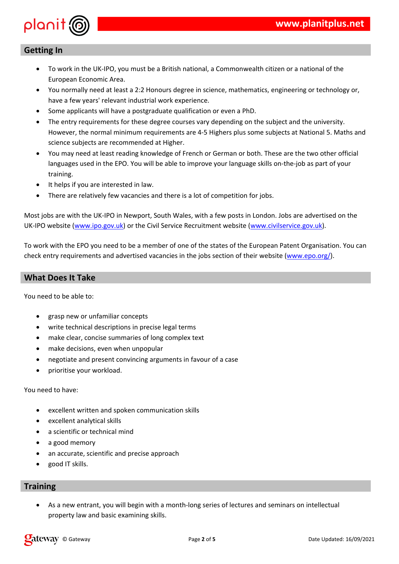









 $\frac{1}{2}$  $\bar{\Gamma}$  $\boldsymbol{\$}$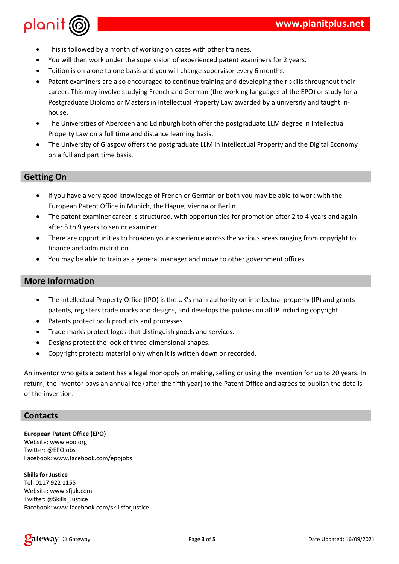

- This is followed by a month of working on cases with other trainees.
- You will then work under the supervision of experienced patent examiners for 2 years.
- Tuition is on a one to one basis and you will change supervisor every 6 months.
- Patent examiners are also encouraged to continue training and developing their skills throughout their career. This may involve studying French and German (the working languages of the EPO) or study for a Postgraduate Diploma or Masters in Intellectual Property Law awarded by a university and taught inhouse.
- The Universities of Aberdeen and Edinburgh both offer the postgraduate LLM degree in Intellectual Property Law on a full time and distance learning basis.
- The University of Glasgow offers the postgraduate LLM in Intellectual Property and the Digital Economy on a full and part time basis.

## **Getting On**

- If you have a very good knowledge of French or German or both you may be able to work with the European Patent Office in Munich, the Hague, Vienna or Berlin.
- The patent examiner career is structured, with opportunities for promotion after 2 to 4 years and again after 5 to 9 years to senior examiner.
- There are opportunities to broaden your experience across the various areas ranging from copyright to finance and administration.
- You may be able to train as a general manager and move to other government offices.

# **More Information**

- The Intellectual Property Office (IPO) is the UK's main authority on intellectual property (IP) and grants patents, registers trade marks and designs, and develops the policies on all IP including copyright.
- Patents protect both products and processes.
- Trade marks protect logos that distinguish goods and services.
- Designs protect the look of three-dimensional shapes.
- Copyright protects material only when it is written down or recorded.

An inventor who gets a patent has a legal monopoly on making, selling or using the invention for up to 20 years. In return, the inventor pays an annual fee (after the fifth year) to the Patent Office and agrees to publish the details of the invention.

### **Contacts**

**European Patent Office (EPO)** Website: www.epo.org Twitter: @EPOjobs Facebook: www.facebook.com/epojobs

#### **Skills for Justice**

Tel: 0117 922 1155 Website: www.sfjuk.com Twitter: @Skills\_Justice Facebook: www.facebook.com/skillsforjustice

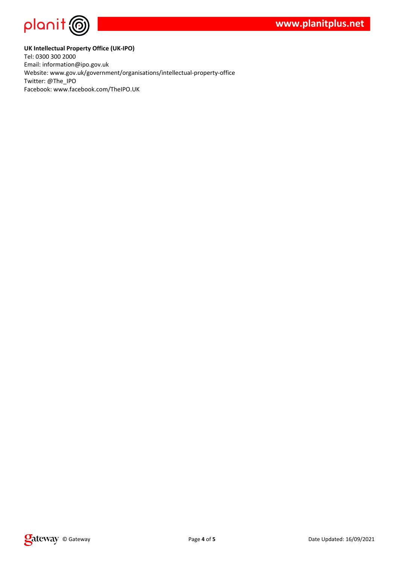

#### **UK Intellectual Property Office (UK-IPO)**

Tel: 0300 300 2000 Email: information@ipo.gov.uk Website: www.gov.uk/government/organisations/intellectual-property-office Twitter: @The\_IPO Facebook: www.facebook.com/TheIPO.UK